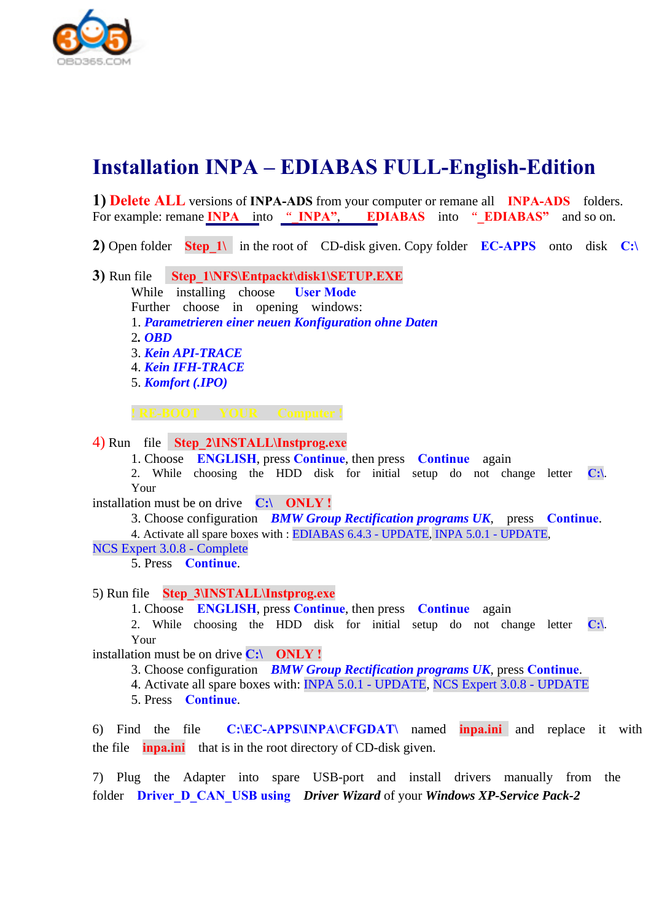

## **Installation INPA – EDIABAS FULL-English-Edition**

**1) Delete ALL** versions of **INPA-ADS** from your computer or remane all **INPA-ADS** folders. For example: remane **INPA** into "**\_INPA"**, **EDIABAS** into "**\_EDIABAS**" and so on.

**2)** Open folder **Step 1\** in the root of CD-disk given. Copy folder **EC-APPS** onto disk **C**:\

**3)** Run file **Step\_1\NFS\Entpackt\disk1\SETUP.EXE** While installing choose **User Mode** Further choose in opening windows: 1. *Parametrieren einer neuen Konfiguration ohne Daten* 2*. OBD* 3. *Kein API-TRACE* 4. *Kein IFH-TRACE* 5. *Komfort (.IPO)* 

**! RE-BOOT YOUR Computer !**

4) Run file **Step\_2\INSTALL\Instprog.exe**

1. Choose **ENGLISH**, press **Continue**, then press **Continue** again

2. While choosing the HDD disk for initial setup do not change letter **C:\**. Your

installation must be on drive **С:\ ONLY !**

3. Choose configuration *BMW Group Rectification programs UK*, press **Continue**.

4. Activate all spare boxes with : EDIABAS 6.4.3 - UPDATE, INPA 5.0.1 - UPDATE,

NCS Expert 3.0.8 - Complete

5. Press **Continue**.

5) Run file **Step\_3\INSTALL\Instprog.exe**

1. Choose **ENGLISH**, press **Continue**, then press **Continue** again

2. While choosing the HDD disk for initial setup do not change letter **C:\**. Your

installation must be on drive **С:\ ONLY !**

3. Choose configuration *BMW Group Rectification programs UK*, press **Continue**.

4. Activate all spare boxes with: INPA 5.0.1 - UPDATE, NCS Expert 3.0.8 - UPDATE

5. Press **Continue**.

6) Find the file **С:\EC-APPS\INPA\CFGDAT\** named **inpa.ini** and replace it with the file **inpa.ini** that is in the root directory of CD-disk given.

7) Plug the Adapter into spare USB-port and install drivers manually from the folder **Driver\_D\_CAN\_USB using** *Driver Wizard* of your *Windows XP-Service Pack-2*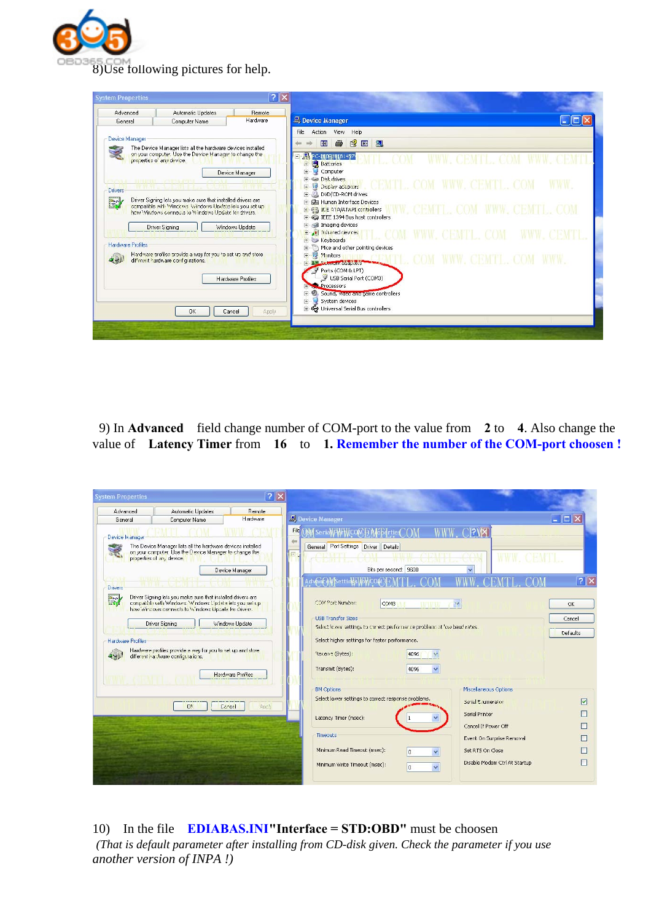

| ? X <br><b>System Properties</b>                                                                                                                                                                                                          |                                                                                                                                                                                                       |  |  |
|-------------------------------------------------------------------------------------------------------------------------------------------------------------------------------------------------------------------------------------------|-------------------------------------------------------------------------------------------------------------------------------------------------------------------------------------------------------|--|--|
| Advanced<br><b>Automatic Updates</b><br>Remote<br>Hardware<br><b>Computer Name</b><br>General                                                                                                                                             | Device Manager                                                                                                                                                                                        |  |  |
| Device Manager<br>The Device Manager lists all the hardware devices installed<br>on your computer. Use the Device Manager to change the<br>properties of any device.<br>Device Manager<br><b>LEFTURE CONTRACTOR</b>                       | Action View<br>Help<br>File<br>图画<br>8<br>図<br>盯<br>dies.<br>PC-200010181457<br><b>Batteries</b><br>+<br>$\ddot{+}$<br>Computer<br><b>F</b> Se Disk drives                                            |  |  |
| Drivers<br>EY<br>Driver Signing lets you make sure that installed drivers are<br>compatible with Windows Windows Update lets you set up<br>how Windows connects to Windows Update for drivers.<br>Windows Update<br><b>Driver Signing</b> | CEMTL COM WWW. CEMTL COM<br>Display adapters<br>DVD/CD-ROM drives<br>田<br>+ da Human Interface Devices<br>日 信号 ICE ATA/ATAPI controllers<br>+ DEEE 1394 Bus host controllers<br>Imaging devices<br>Ŧ. |  |  |
| <b>Hardware Profiles</b><br>Hardware profiles provide a way for you to set up and store<br>different hardware configurations.<br>إيجالا                                                                                                   | + infrared devices<br>+ Keyboards<br>Mice and other pointing devices<br>$+$<br>Monitors<br>Ė<br>F A LA WORK CLOUGA THE<br>Ports (COM & LPT)                                                           |  |  |
| <b>Hardware Profiles</b><br>0K<br>Apply<br>Cancel                                                                                                                                                                                         | USB Serial Port (COM3)<br><b>Processors</b><br>· Sound, video and game controllers<br>F.<br>÷.<br>System devices<br>+ € Universal Serial Bus controllers                                              |  |  |

 9) In **Advanced** field change number of COM-port to the value from **2** to **4**. Also change the value of **Latency Timer** from **16** to **1. Remember the number of the COM-port choosen !** 

| <b>System Properties</b>                                                                                                                                                                                                                                                                                                                                                                              |                                                                                                                                                                  | ? X             |                                                                                                                                                                                                                                                                                                                                                                                   |                                                                                                       |
|-------------------------------------------------------------------------------------------------------------------------------------------------------------------------------------------------------------------------------------------------------------------------------------------------------------------------------------------------------------------------------------------------------|------------------------------------------------------------------------------------------------------------------------------------------------------------------|-----------------|-----------------------------------------------------------------------------------------------------------------------------------------------------------------------------------------------------------------------------------------------------------------------------------------------------------------------------------------------------------------------------------|-------------------------------------------------------------------------------------------------------|
| Advanced                                                                                                                                                                                                                                                                                                                                                                                              | Automatic Updates                                                                                                                                                | Remote          |                                                                                                                                                                                                                                                                                                                                                                                   |                                                                                                       |
| General                                                                                                                                                                                                                                                                                                                                                                                               | Computer Name                                                                                                                                                    | Hardware        | Device Manager                                                                                                                                                                                                                                                                                                                                                                    | $\overline{\phantom{a}}$ . $\overline{\phantom{a}}$ $\overline{\phantom{a}}$ $\overline{\phantom{a}}$ |
| Device Manager<br><b>Drivers</b>                                                                                                                                                                                                                                                                                                                                                                      | The Device Manager lists all the hardware devices installed<br>on your computer. Use the Device Manager to change the<br>properties of any device.<br>パスマスルスピオリモ | Device Manager  | File<br><b>PVX</b><br>OST SeriaMAHMCOMFIA<br>General Port Settings Driver Details<br>Est<br><b>STEP</b><br>Bits per second: 9600<br>AdvonceWsettings\foWCO                                                                                                                                                                                                                        | ? X                                                                                                   |
| Driver Signing lets you make sure that installed drivers are<br>E.<br>congratible with Windows. Windows L'pdate lets you set up<br>how Wincows connects to Windows Upcata for Crivers.<br><b>Driver Signing</b><br>Windows Update<br><b>Hardware Profiles</b><br>Hardware profiles provide a way for you to set up and store<br>different hardware configurations.<br>ペッド<br><b>Hardware Profiles</b> |                                                                                                                                                                  |                 | COM Port Number:<br>COM3<br>$\mathcal{F}_{\mathcal{E}}$<br><b>TEZELETI</b><br><b>USB Transfer Sizes</b><br>Select lower settings to correct performance problems at 'ow baud rates'<br>Select higher settings for faster performance.<br>Receive (Bytes):<br>4096<br>Transmit (Bytes):<br>4096                                                                                    | OK<br>Cancel<br>Defaults                                                                              |
|                                                                                                                                                                                                                                                                                                                                                                                                       | OK.                                                                                                                                                              | Cancel<br>Ancly | Miscellaneous Options<br><b>BM Options</b><br>Select lower settings to correct response problems.<br>Serial Enumerator<br>Serial Printer<br>Latency Timer (msec):<br>Cancel If Power Off<br>Timeouts<br>Event On Surprise Removal<br>Minimum Read Timeout (msec):<br>Set RTS On Close<br>ñ<br>Disable Modem Ctrl At Startup<br>Minimum Write Timeout (msec):<br>$\checkmark$<br>ñ | ☑                                                                                                     |

10) In the file **EDIABAS.INI"Interface = STD:OBD"** must be choosen *(That is default parameter after installing from CD-disk given. Check the parameter if you use another version of INPA !)*